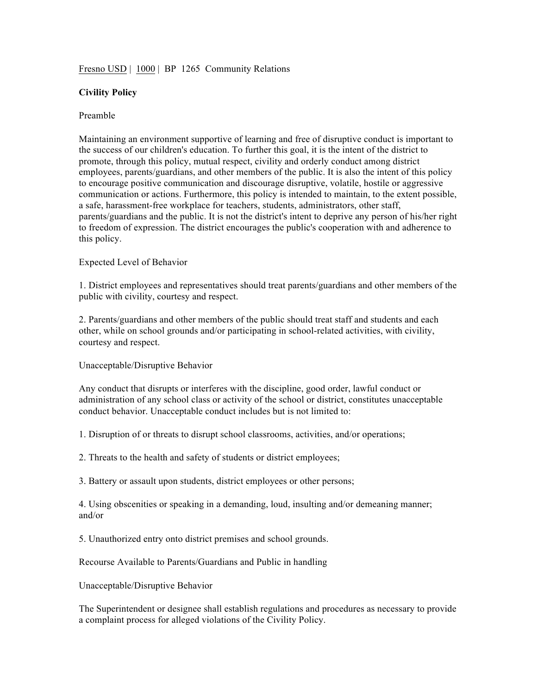## Fresno USD | 1000 | BP 1265 Community Relations

## **Civility Policy**

## Preamble

Maintaining an environment supportive of learning and free of disruptive conduct is important to the success of our children's education. To further this goal, it is the intent of the district to promote, through this policy, mutual respect, civility and orderly conduct among district employees, parents/guardians, and other members of the public. It is also the intent of this policy to encourage positive communication and discourage disruptive, volatile, hostile or aggressive communication or actions. Furthermore, this policy is intended to maintain, to the extent possible, a safe, harassment-free workplace for teachers, students, administrators, other staff, parents/guardians and the public. It is not the district's intent to deprive any person of his/her right to freedom of expression. The district encourages the public's cooperation with and adherence to this policy.

## Expected Level of Behavior

1. District employees and representatives should treat parents/guardians and other members of the public with civility, courtesy and respect.

2. Parents/guardians and other members of the public should treat staff and students and each other, while on school grounds and/or participating in school-related activities, with civility, courtesy and respect.

Unacceptable/Disruptive Behavior

Any conduct that disrupts or interferes with the discipline, good order, lawful conduct or administration of any school class or activity of the school or district, constitutes unacceptable conduct behavior. Unacceptable conduct includes but is not limited to:

1. Disruption of or threats to disrupt school classrooms, activities, and/or operations;

2. Threats to the health and safety of students or district employees;

3. Battery or assault upon students, district employees or other persons;

4. Using obscenities or speaking in a demanding, loud, insulting and/or demeaning manner; and/or

5. Unauthorized entry onto district premises and school grounds.

Recourse Available to Parents/Guardians and Public in handling

Unacceptable/Disruptive Behavior

The Superintendent or designee shall establish regulations and procedures as necessary to provide a complaint process for alleged violations of the Civility Policy.